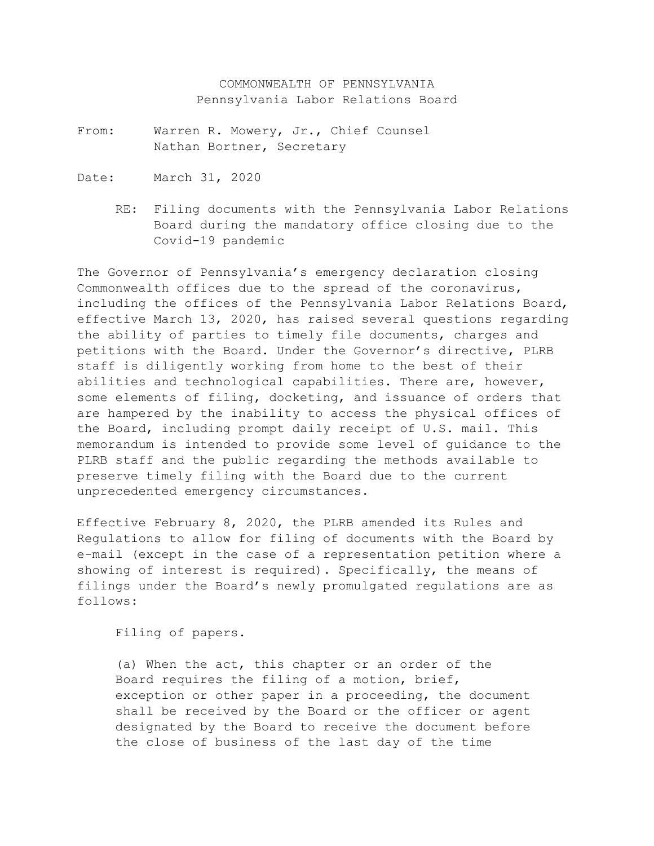COMMONWEALTH OF PENNSYLVANIA Pennsylvania Labor Relations Board

- From: Warren R. Mowery, Jr., Chief Counsel Nathan Bortner, Secretary
- Date: March 31, 2020
	- RE: Filing documents with the Pennsylvania Labor Relations Board during the mandatory office closing due to the Covid-19 pandemic

The Governor of Pennsylvania's emergency declaration closing Commonwealth offices due to the spread of the coronavirus, including the offices of the Pennsylvania Labor Relations Board, effective March 13, 2020, has raised several questions regarding the ability of parties to timely file documents, charges and petitions with the Board. Under the Governor's directive, PLRB staff is diligently working from home to the best of their abilities and technological capabilities. There are, however, some elements of filing, docketing, and issuance of orders that are hampered by the inability to access the physical offices of the Board, including prompt daily receipt of U.S. mail. This memorandum is intended to provide some level of guidance to the PLRB staff and the public regarding the methods available to preserve timely filing with the Board due to the current unprecedented emergency circumstances.

Effective February 8, 2020, the PLRB amended its Rules and Regulations to allow for filing of documents with the Board by e-mail (except in the case of a representation petition where a showing of interest is required). Specifically, the means of filings under the Board's newly promulgated regulations are as follows:

Filing of papers.

(a) When the act, this chapter or an order of the Board requires the filing of a motion, brief, exception or other paper in a proceeding, the document shall be received by the Board or the officer or agent designated by the Board to receive the document before the close of business of the last day of the time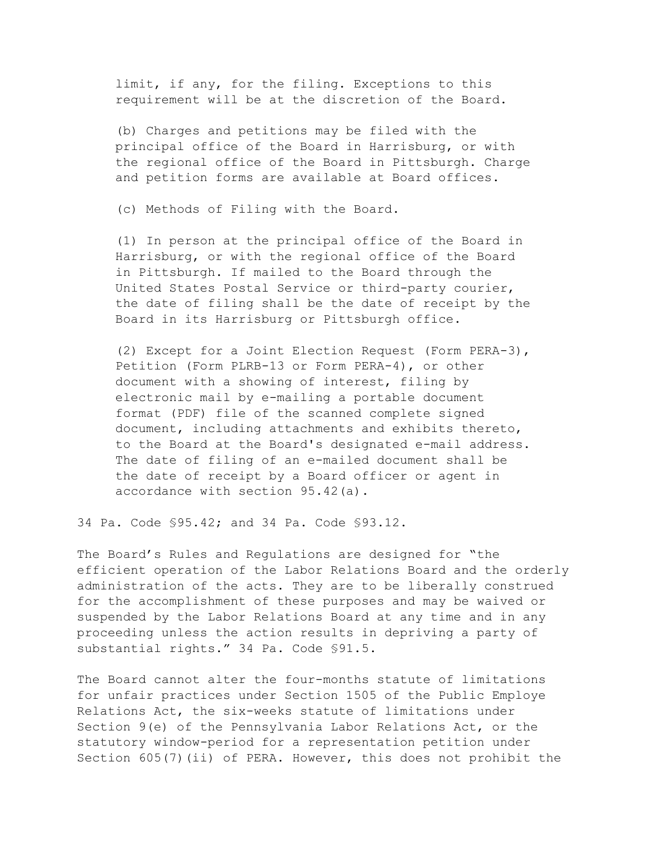limit, if any, for the filing. Exceptions to this requirement will be at the discretion of the Board.

(b) Charges and petitions may be filed with the principal office of the Board in Harrisburg, or with the regional office of the Board in Pittsburgh. Charge and petition forms are available at Board offices.

(c) Methods of Filing with the Board.

(1) In person at the principal office of the Board in Harrisburg, or with the regional office of the Board in Pittsburgh. If mailed to the Board through the United States Postal Service or third-party courier, the date of filing shall be the date of receipt by the Board in its Harrisburg or Pittsburgh office.

(2) Except for a Joint Election Request (Form PERA-3), Petition (Form PLRB-13 or Form PERA-4), or other document with a showing of interest, filing by electronic mail by e-mailing a portable document format (PDF) file of the scanned complete signed document, including attachments and exhibits thereto, to the Board at the Board's designated e-mail address. The date of filing of an e-mailed document shall be the date of receipt by a Board officer or agent in accordance with section 95.42(a).

34 Pa. Code §95.42; and 34 Pa. Code §93.12.

The Board's Rules and Regulations are designed for "the efficient operation of the Labor Relations Board and the orderly administration of the acts. They are to be liberally construed for the accomplishment of these purposes and may be waived or suspended by the Labor Relations Board at any time and in any proceeding unless the action results in depriving a party of substantial rights." 34 Pa. Code §91.5.

The Board cannot alter the four-months statute of limitations for unfair practices under Section 1505 of the Public Employe Relations Act, the six-weeks statute of limitations under Section 9(e) of the Pennsylvania Labor Relations Act, or the statutory window-period for a representation petition under Section 605(7)(ii) of PERA. However, this does not prohibit the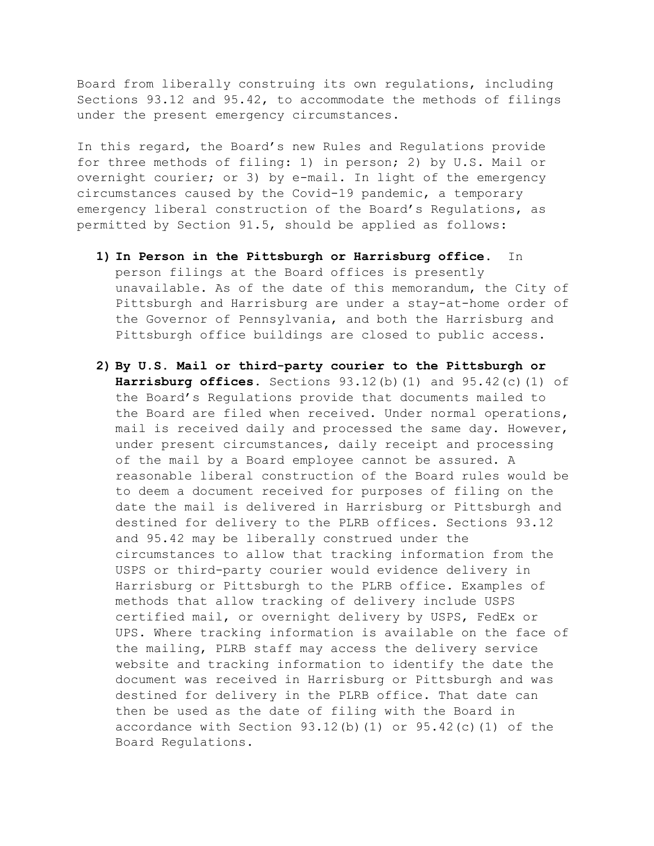Board from liberally construing its own regulations, including Sections 93.12 and 95.42, to accommodate the methods of filings under the present emergency circumstances.

In this regard, the Board's new Rules and Regulations provide for three methods of filing: 1) in person; 2) by U.S. Mail or overnight courier; or 3) by e-mail. In light of the emergency circumstances caused by the Covid-19 pandemic, a temporary emergency liberal construction of the Board's Regulations, as permitted by Section 91.5, should be applied as follows:

- **1) In Person in the Pittsburgh or Harrisburg office.** In person filings at the Board offices is presently unavailable. As of the date of this memorandum, the City of Pittsburgh and Harrisburg are under a stay-at-home order of the Governor of Pennsylvania, and both the Harrisburg and Pittsburgh office buildings are closed to public access.
- **2) By U.S. Mail or third-party courier to the Pittsburgh or Harrisburg offices.** Sections 93.12(b)(1) and 95.42(c)(1) of the Board's Regulations provide that documents mailed to the Board are filed when received. Under normal operations, mail is received daily and processed the same day. However, under present circumstances, daily receipt and processing of the mail by a Board employee cannot be assured. A reasonable liberal construction of the Board rules would be to deem a document received for purposes of filing on the date the mail is delivered in Harrisburg or Pittsburgh and destined for delivery to the PLRB offices. Sections 93.12 and 95.42 may be liberally construed under the circumstances to allow that tracking information from the USPS or third-party courier would evidence delivery in Harrisburg or Pittsburgh to the PLRB office. Examples of methods that allow tracking of delivery include USPS certified mail, or overnight delivery by USPS, FedEx or UPS. Where tracking information is available on the face of the mailing, PLRB staff may access the delivery service website and tracking information to identify the date the document was received in Harrisburg or Pittsburgh and was destined for delivery in the PLRB office. That date can then be used as the date of filing with the Board in accordance with Section  $93.12(b)(1)$  or  $95.42(c)(1)$  of the Board Regulations.